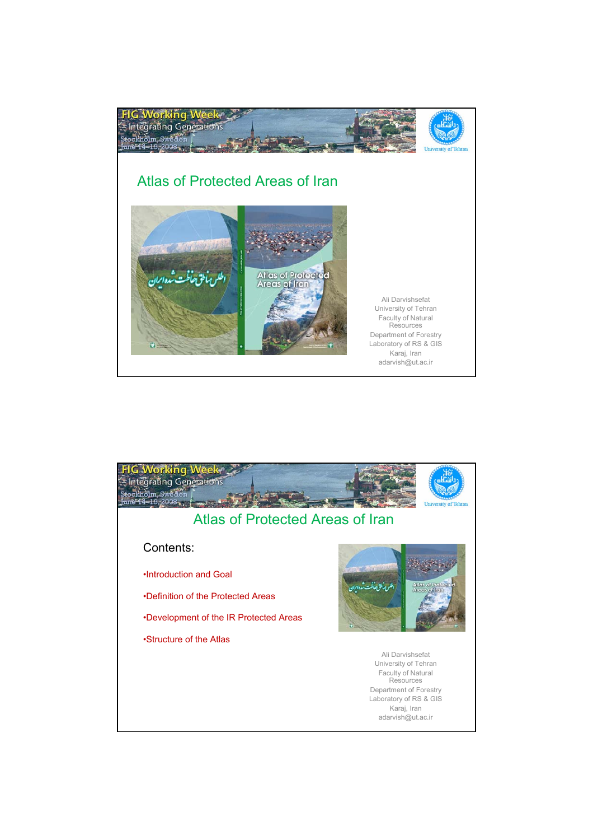

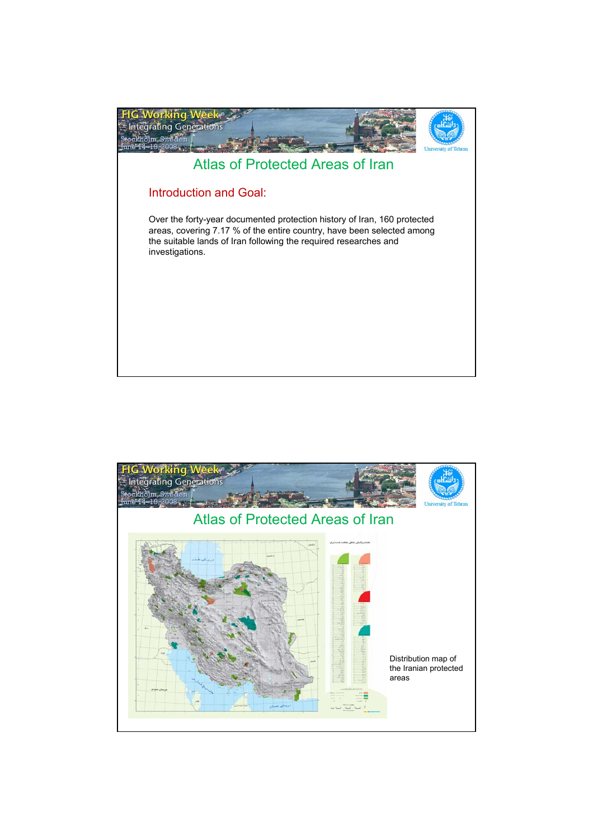

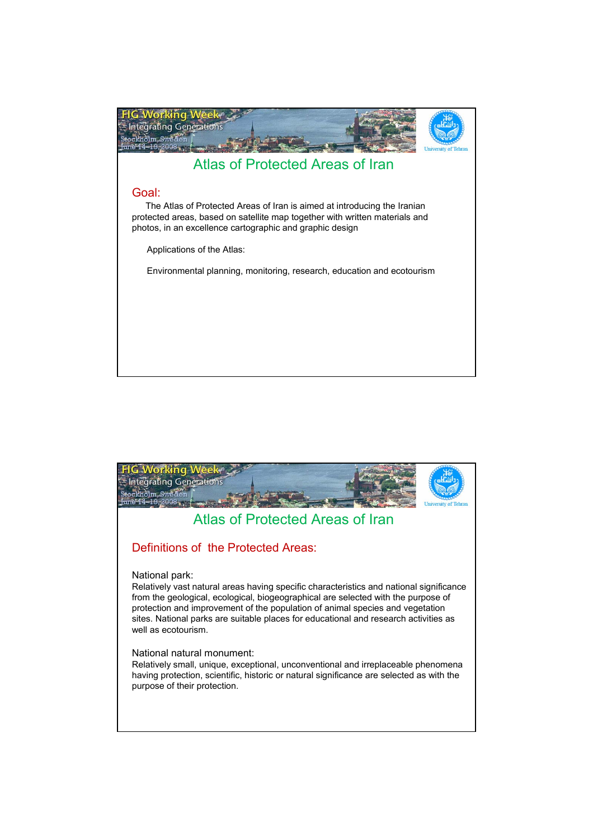

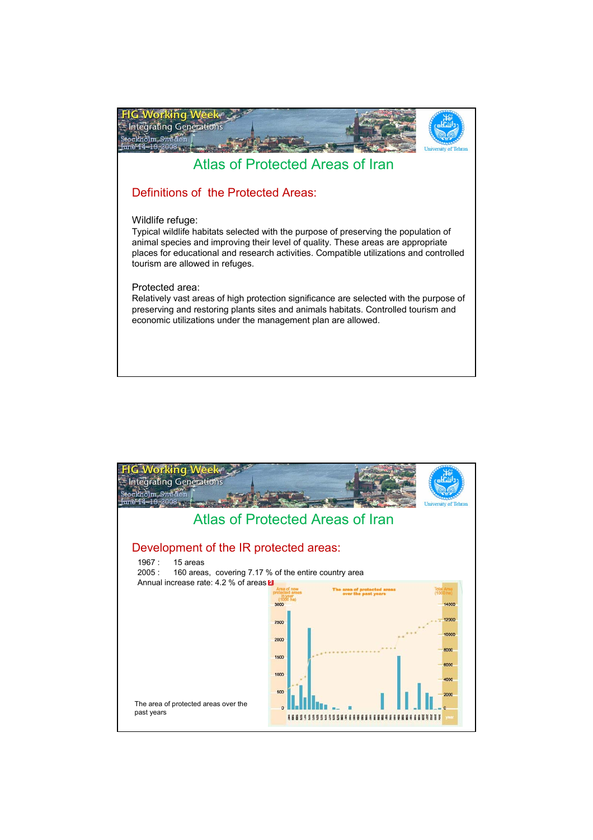

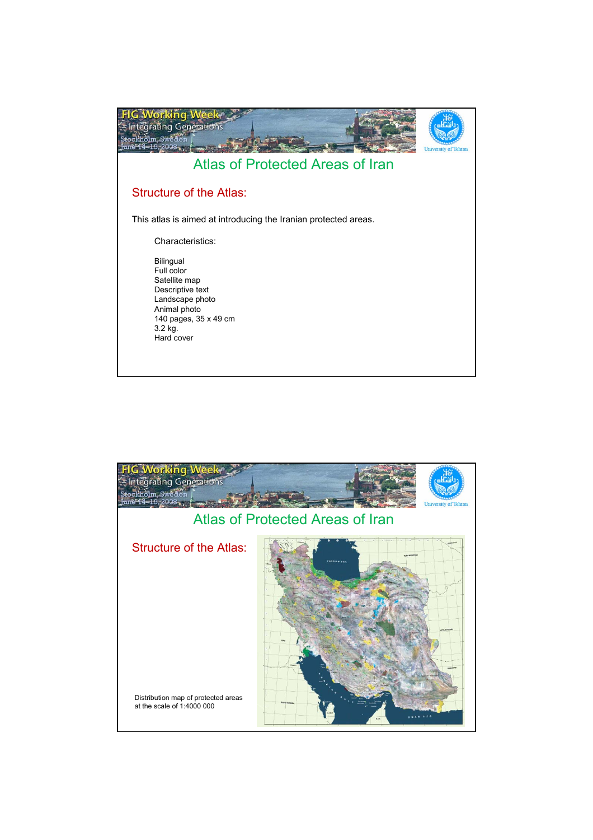

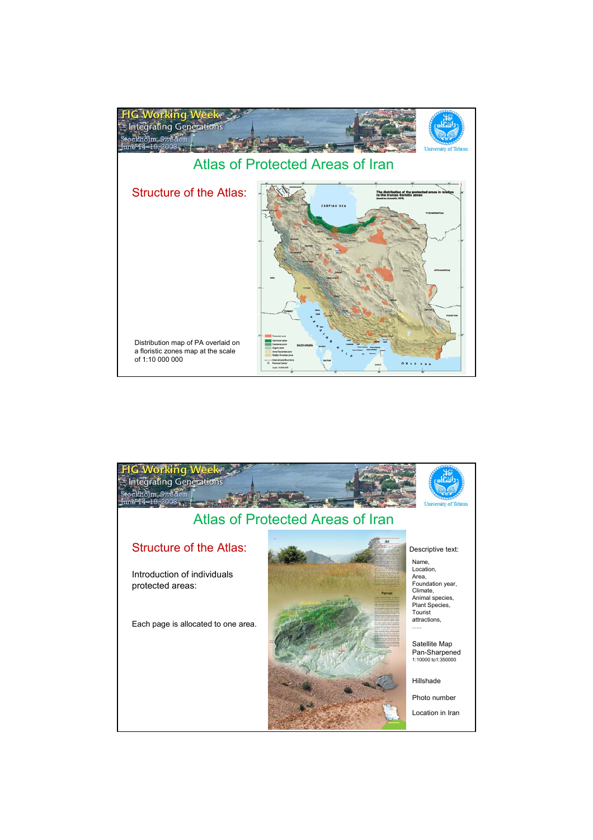

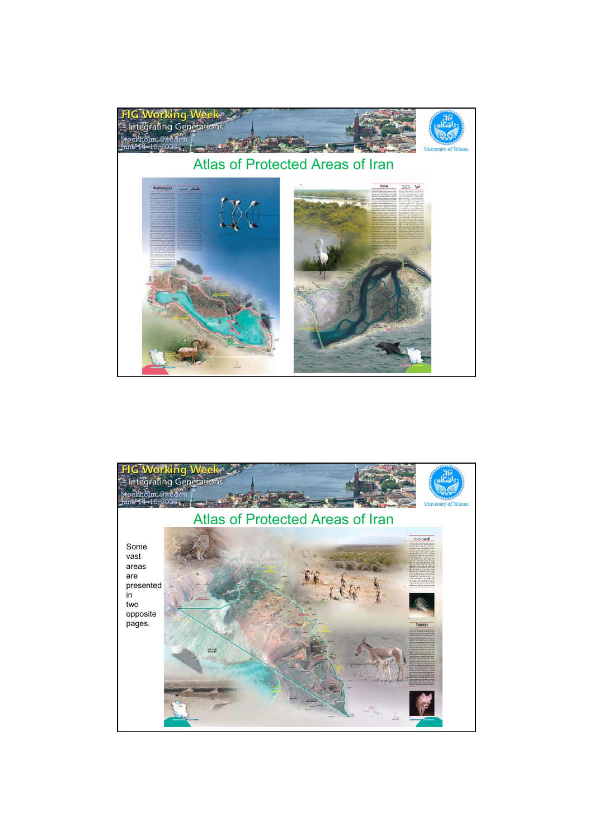